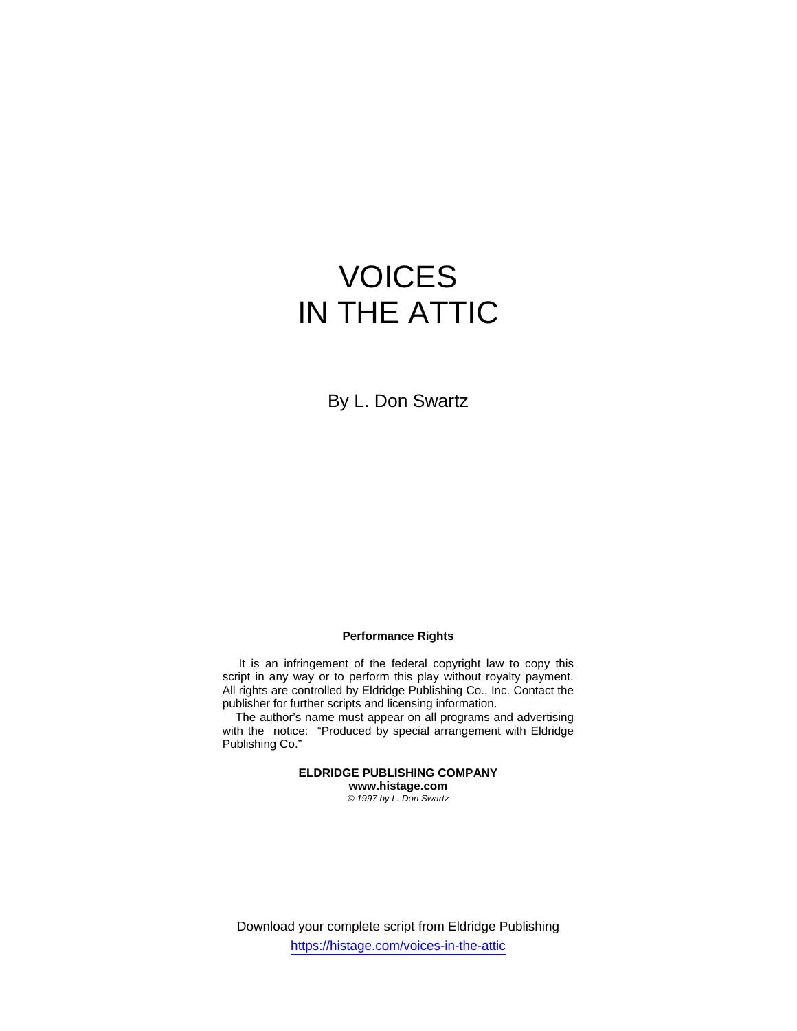# VOICES IN THE ATTIC

By L. Don Swartz

## **Performance Rights**

 It is an infringement of the federal copyright law to copy this script in any way or to perform this play without royalty payment. All rights are controlled by Eldridge Publishing Co., Inc. Contact the publisher for further scripts and licensing information.

 The author's name must appear on all programs and advertising with the notice: "Produced by special arrangement with Eldridge Publishing Co."

> **ELDRIDGE PUBLISHING COMPANY www.histage.com**  *© 1997 by L. Don Swartz*

Download your complete script from Eldridge Publishing https://histage.com/voices-in-the-attic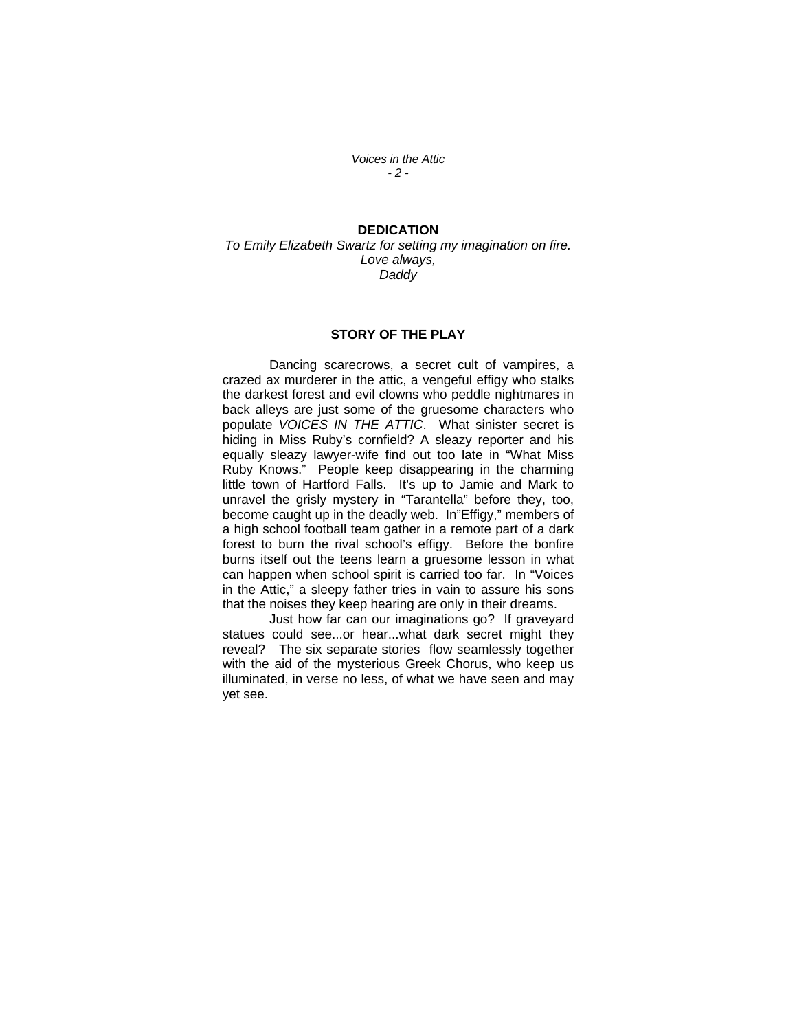*Voices in the Attic - 2 -* 

## **DEDICATION**

*To Emily Elizabeth Swartz for setting my imagination on fire. Love always, Daddy* 

#### **STORY OF THE PLAY**

 Dancing scarecrows, a secret cult of vampires, a crazed ax murderer in the attic, a vengeful effigy who stalks the darkest forest and evil clowns who peddle nightmares in back alleys are just some of the gruesome characters who populate *VOICES IN THE ATTIC*. What sinister secret is hiding in Miss Ruby's cornfield? A sleazy reporter and his equally sleazy lawyer-wife find out too late in "What Miss Ruby Knows." People keep disappearing in the charming little town of Hartford Falls. It's up to Jamie and Mark to unravel the grisly mystery in "Tarantella" before they, too, become caught up in the deadly web. In"Effigy," members of a high school football team gather in a remote part of a dark forest to burn the rival school's effigy. Before the bonfire burns itself out the teens learn a gruesome lesson in what can happen when school spirit is carried too far. In "Voices in the Attic," a sleepy father tries in vain to assure his sons that the noises they keep hearing are only in their dreams.

 Just how far can our imaginations go? If graveyard statues could see...or hear...what dark secret might they reveal? The six separate stories flow seamlessly together with the aid of the mysterious Greek Chorus, who keep us illuminated, in verse no less, of what we have seen and may yet see.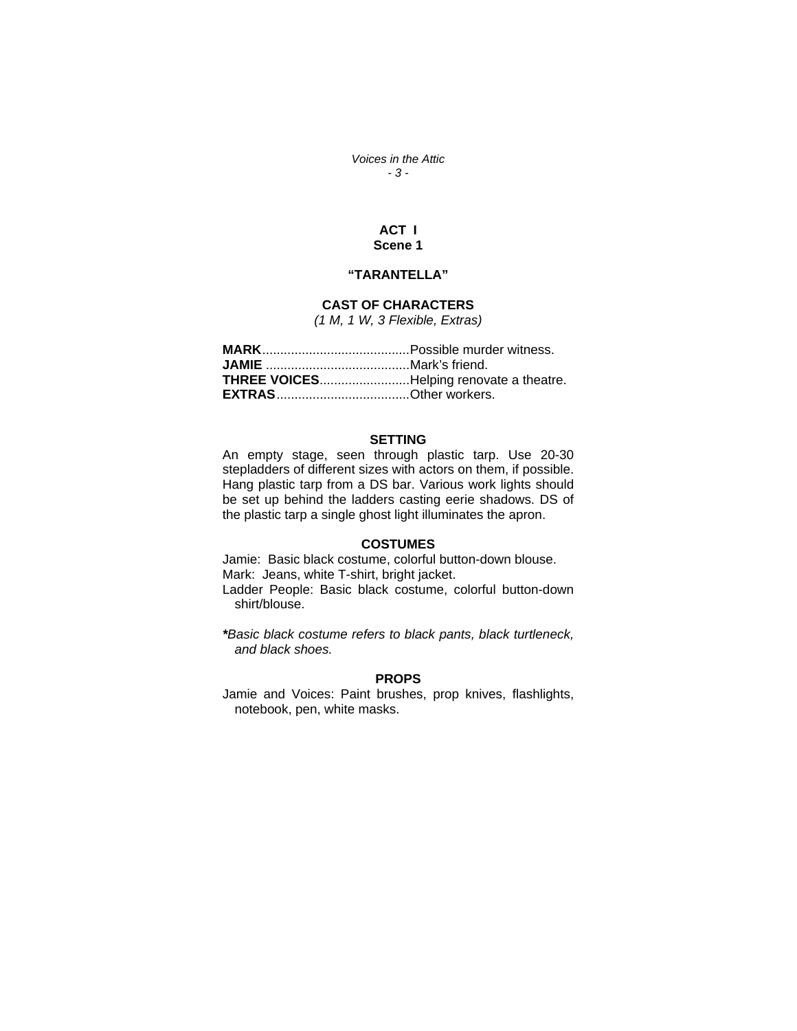*Voices in the Attic - 3 -* 

## **ACT I Scene 1**

## **"TARANTELLA"**

## **CAST OF CHARACTERS**

*(1 M, 1 W, 3 Flexible, Extras)* 

#### **SETTING**

An empty stage, seen through plastic tarp. Use 20-30 stepladders of different sizes with actors on them, if possible. Hang plastic tarp from a DS bar. Various work lights should be set up behind the ladders casting eerie shadows. DS of the plastic tarp a single ghost light illuminates the apron.

## **COSTUMES**

Jamie: Basic black costume, colorful button-down blouse. Mark: Jeans, white T-shirt, bright jacket. Ladder People: Basic black costume, colorful button-down shirt/blouse.

*\*Basic black costume refers to black pants, black turtleneck, and black shoes.*

### **PROPS**

Jamie and Voices: Paint brushes, prop knives, flashlights, notebook, pen, white masks.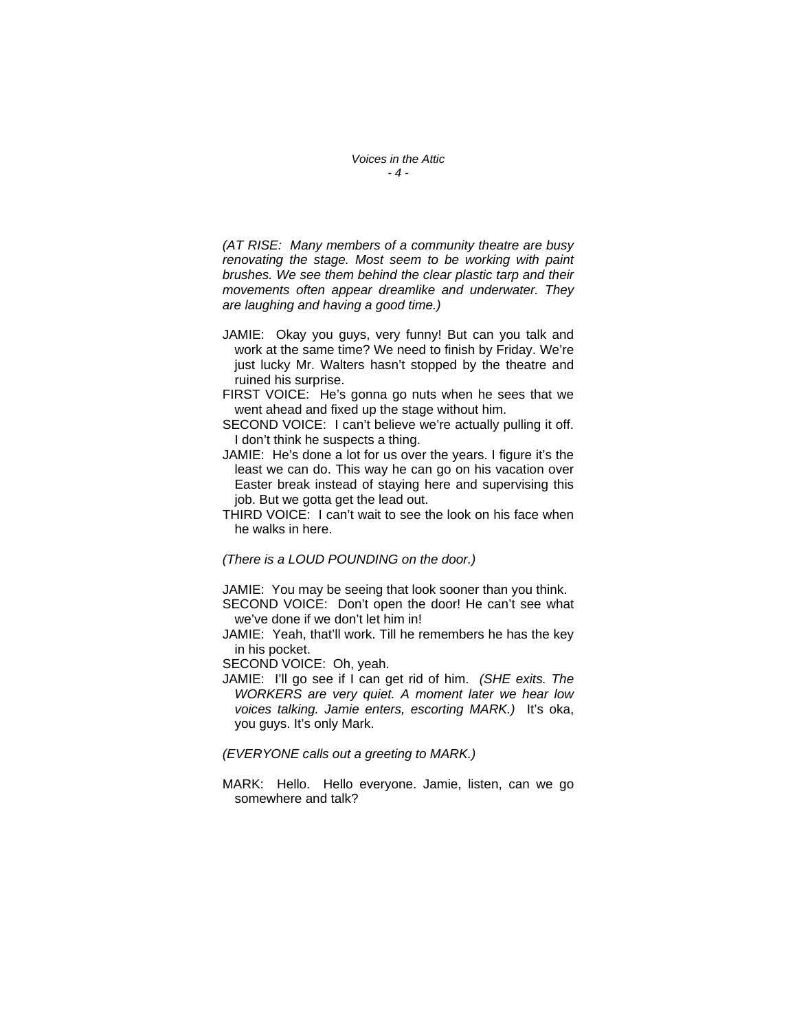*(AT RISE: Many members of a community theatre are busy renovating the stage. Most seem to be working with paint brushes. We see them behind the clear plastic tarp and their movements often appear dreamlike and underwater. They are laughing and having a good time.)* 

- JAMIE: Okay you guys, very funny! But can you talk and work at the same time? We need to finish by Friday. We're just lucky Mr. Walters hasn't stopped by the theatre and ruined his surprise.
- FIRST VOICE: He's gonna go nuts when he sees that we went ahead and fixed up the stage without him.
- SECOND VOICE: I can't believe we're actually pulling it off. I don't think he suspects a thing.
- JAMIE: He's done a lot for us over the years. I figure it's the least we can do. This way he can go on his vacation over Easter break instead of staying here and supervising this job. But we gotta get the lead out.
- THIRD VOICE: I can't wait to see the look on his face when he walks in here.

*(There is a LOUD POUNDING on the door.)* 

JAMIE: You may be seeing that look sooner than you think.

- SECOND VOICE: Don't open the door! He can't see what we've done if we don't let him in!
- JAMIE: Yeah, that'll work. Till he remembers he has the key in his pocket.

SECOND VOICE: Oh, yeah.

JAMIE: I'll go see if I can get rid of him. *(SHE exits. The WORKERS are very quiet. A moment later we hear low voices talking. Jamie enters, escorting MARK.)* It's oka, you guys. It's only Mark.

*(EVERYONE calls out a greeting to MARK.)* 

MARK: Hello. Hello everyone. Jamie, listen, can we go somewhere and talk?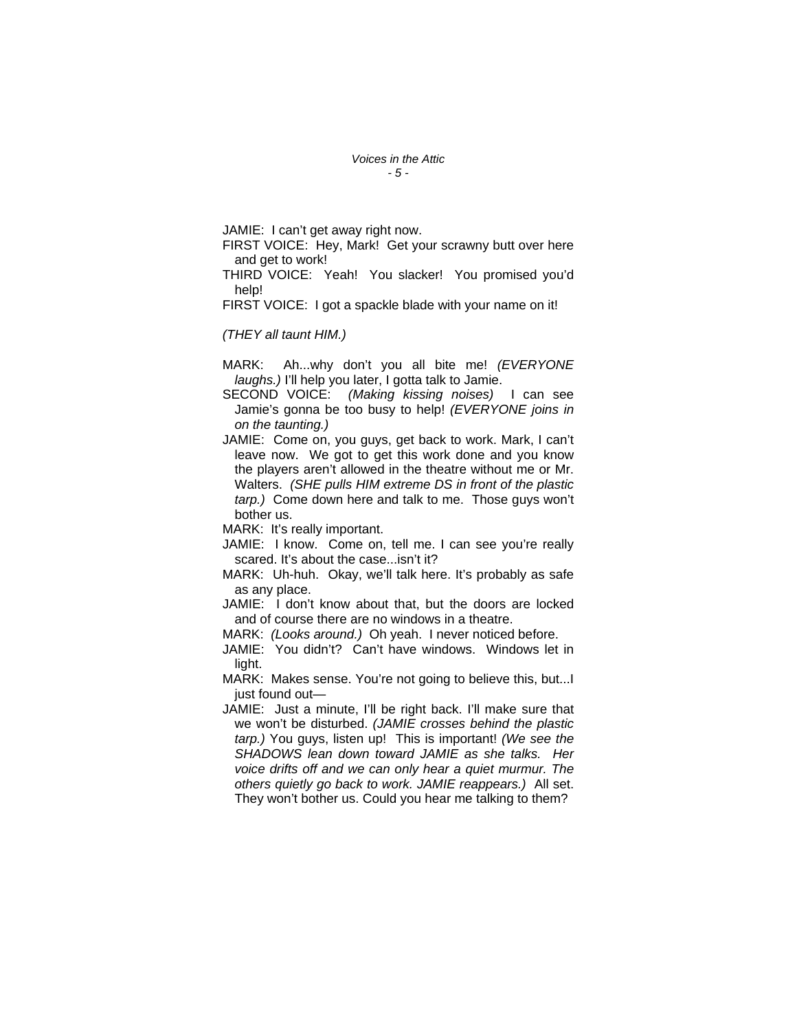*Voices in the Attic - 5 -* 

JAMIE: I can't get away right now.

FIRST VOICE: Hey, Mark! Get your scrawny butt over here and get to work!

THIRD VOICE: Yeah! You slacker! You promised you'd help!

FIRST VOICE: I got a spackle blade with your name on it!

*(THEY all taunt HIM.)* 

MARK: Ah...why don't you all bite me! *(EVERYONE laughs.)* I'll help you later, I gotta talk to Jamie.

SECOND VOICE: *(Making kissing noises)* I can see Jamie's gonna be too busy to help! *(EVERYONE joins in on the taunting.)* 

JAMIE: Come on, you guys, get back to work. Mark, I can't leave now. We got to get this work done and you know the players aren't allowed in the theatre without me or Mr. Walters. *(SHE pulls HIM extreme DS in front of the plastic tarp.)* Come down here and talk to me. Those guys won't bother us.

MARK: It's really important.

- JAMIE: I know. Come on, tell me. I can see you're really scared. It's about the case...isn't it?
- MARK: Uh-huh. Okay, we'll talk here. It's probably as safe as any place.

JAMIE: I don't know about that, but the doors are locked and of course there are no windows in a theatre.

MARK: *(Looks around.)* Oh yeah. I never noticed before.

JAMIE: You didn't? Can't have windows. Windows let in light.

MARK: Makes sense. You're not going to believe this, but...I just found out—

JAMIE: Just a minute, I'll be right back. I'll make sure that we won't be disturbed. *(JAMIE crosses behind the plastic tarp.)* You guys, listen up! This is important! *(We see the SHADOWS lean down toward JAMIE as she talks. Her voice drifts off and we can only hear a quiet murmur. The others quietly go back to work. JAMIE reappears.)* All set. They won't bother us. Could you hear me talking to them?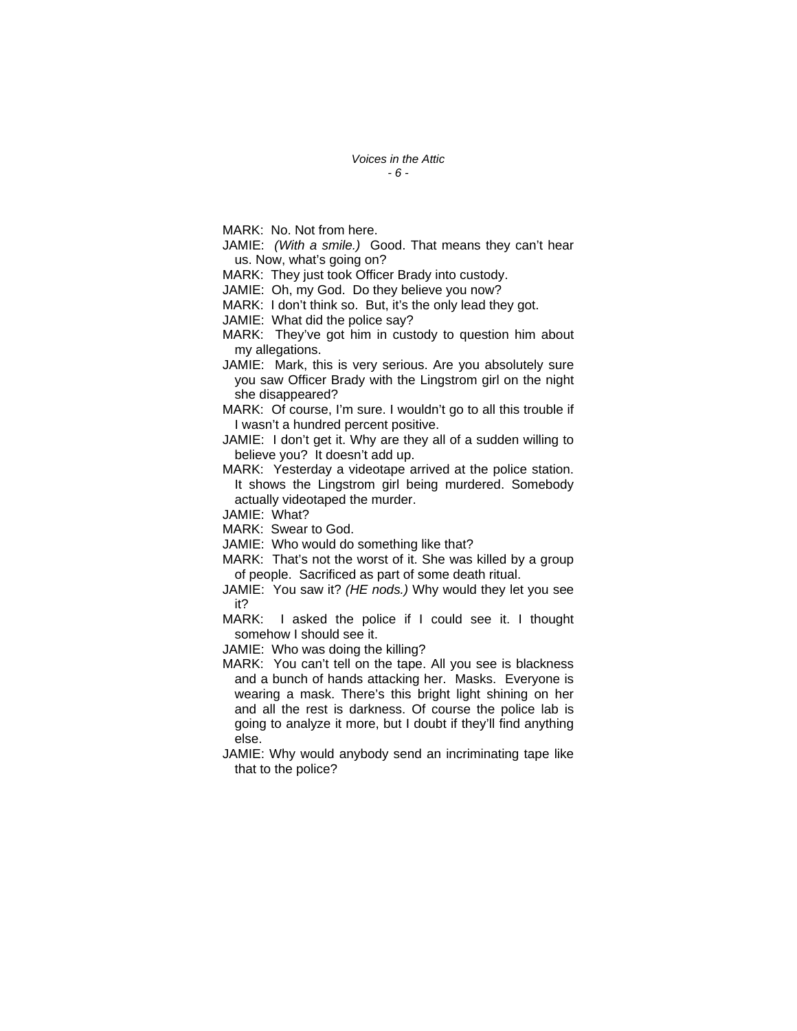MARK: No. Not from here.

JAMIE: *(With a smile.)* Good. That means they can't hear us. Now, what's going on?

MARK: They just took Officer Brady into custody.

JAMIE: Oh, my God. Do they believe you now?

MARK: I don't think so. But, it's the only lead they got.

JAMIE: What did the police say?

MARK: They've got him in custody to question him about my allegations.

JAMIE: Mark, this is very serious. Are you absolutely sure you saw Officer Brady with the Lingstrom girl on the night she disappeared?

MARK: Of course, I'm sure. I wouldn't go to all this trouble if I wasn't a hundred percent positive.

JAMIE: I don't get it. Why are they all of a sudden willing to believe you? It doesn't add up.

MARK: Yesterday a videotape arrived at the police station. It shows the Lingstrom girl being murdered. Somebody actually videotaped the murder.

JAMIE: What?

MARK: Swear to God.

JAMIE: Who would do something like that?

MARK: That's not the worst of it. She was killed by a group of people. Sacrificed as part of some death ritual.

JAMIE: You saw it? *(HE nods.)* Why would they let you see it?

MARK: I asked the police if I could see it. I thought somehow I should see it.

JAMIE: Who was doing the killing?

MARK: You can't tell on the tape. All you see is blackness and a bunch of hands attacking her. Masks. Everyone is wearing a mask. There's this bright light shining on her and all the rest is darkness. Of course the police lab is going to analyze it more, but I doubt if they'll find anything else.

JAMIE: Why would anybody send an incriminating tape like that to the police?